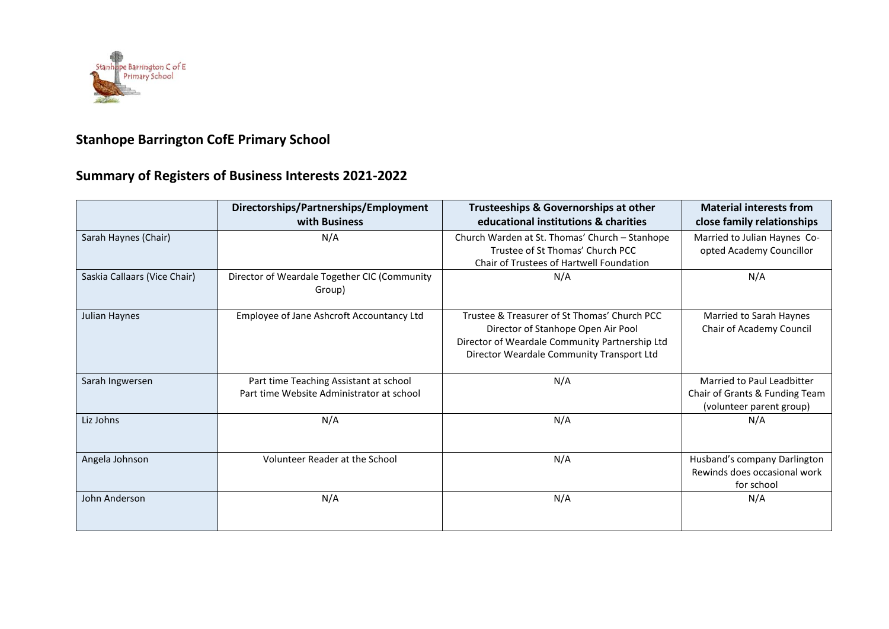

## **Stanhope Barrington CofE Primary School**

## **Summary of Registers of Business Interests 2021-2022**

|                              | Directorships/Partnerships/Employment<br>with Business                              | Trusteeships & Governorships at other<br>educational institutions & charities                                                                                                     | <b>Material interests from</b><br>close family relationships                             |
|------------------------------|-------------------------------------------------------------------------------------|-----------------------------------------------------------------------------------------------------------------------------------------------------------------------------------|------------------------------------------------------------------------------------------|
| Sarah Haynes (Chair)         | N/A                                                                                 | Church Warden at St. Thomas' Church - Stanhope<br>Trustee of St Thomas' Church PCC<br>Chair of Trustees of Hartwell Foundation                                                    | Married to Julian Haynes Co-<br>opted Academy Councillor                                 |
| Saskia Callaars (Vice Chair) | Director of Weardale Together CIC (Community<br>Group)                              | N/A                                                                                                                                                                               | N/A                                                                                      |
| Julian Haynes                | Employee of Jane Ashcroft Accountancy Ltd                                           | Trustee & Treasurer of St Thomas' Church PCC<br>Director of Stanhope Open Air Pool<br>Director of Weardale Community Partnership Ltd<br>Director Weardale Community Transport Ltd | Married to Sarah Haynes<br>Chair of Academy Council                                      |
| Sarah Ingwersen              | Part time Teaching Assistant at school<br>Part time Website Administrator at school | N/A                                                                                                                                                                               | Married to Paul Leadbitter<br>Chair of Grants & Funding Team<br>(volunteer parent group) |
| Liz Johns                    | N/A                                                                                 | N/A                                                                                                                                                                               | N/A                                                                                      |
| Angela Johnson               | <b>Volunteer Reader at the School</b>                                               | N/A                                                                                                                                                                               | Husband's company Darlington<br>Rewinds does occasional work<br>for school               |
| John Anderson                | N/A                                                                                 | N/A                                                                                                                                                                               | N/A                                                                                      |